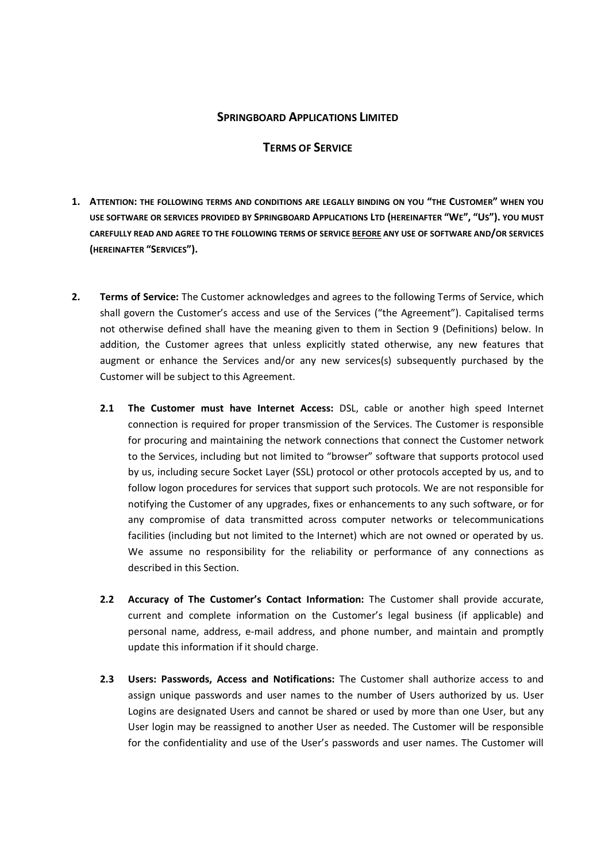# **SPRINGBOARD APPLICATIONS LIMITED**

# **TERMS OF SERVICE**

- **1. ATTENTION: THE FOLLOWING TERMS AND CONDITIONS ARE LEGALLY BINDING ON YOU "THE CUSTOMER" WHEN YOU USE SOFTWARE OR SERVICES PROVIDED BY SPRINGBOARD APPLICATIONS LTD (HEREINAFTER "WE", "US"). YOU MUST CAREFULLY READ AND AGREE TO THE FOLLOWING TERMS OF SERVICE BEFORE ANY USE OF SOFTWARE AND/OR SERVICES (HEREINAFTER "SERVICES").**
- **2. Terms of Service:** The Customer acknowledges and agrees to the following Terms of Service, which shall govern the Customer's access and use of the Services ("the Agreement"). Capitalised terms not otherwise defined shall have the meaning given to them in Section 9 (Definitions) below. In addition, the Customer agrees that unless explicitly stated otherwise, any new features that augment or enhance the Services and/or any new services(s) subsequently purchased by the Customer will be subject to this Agreement.
	- **2.1 The Customer must have Internet Access:** DSL, cable or another high speed Internet connection is required for proper transmission of the Services. The Customer is responsible for procuring and maintaining the network connections that connect the Customer network to the Services, including but not limited to "browser" software that supports protocol used by us, including secure Socket Layer (SSL) protocol or other protocols accepted by us, and to follow logon procedures for services that support such protocols. We are not responsible for notifying the Customer of any upgrades, fixes or enhancements to any such software, or for any compromise of data transmitted across computer networks or telecommunications facilities (including but not limited to the Internet) which are not owned or operated by us. We assume no responsibility for the reliability or performance of any connections as described in this Section.
	- **2.2 Accuracy of The Customer's Contact Information:** The Customer shall provide accurate, current and complete information on the Customer's legal business (if applicable) and personal name, address, e-mail address, and phone number, and maintain and promptly update this information if it should charge.
	- **2.3 Users: Passwords, Access and Notifications:** The Customer shall authorize access to and assign unique passwords and user names to the number of Users authorized by us. User Logins are designated Users and cannot be shared or used by more than one User, but any User login may be reassigned to another User as needed. The Customer will be responsible for the confidentiality and use of the User's passwords and user names. The Customer will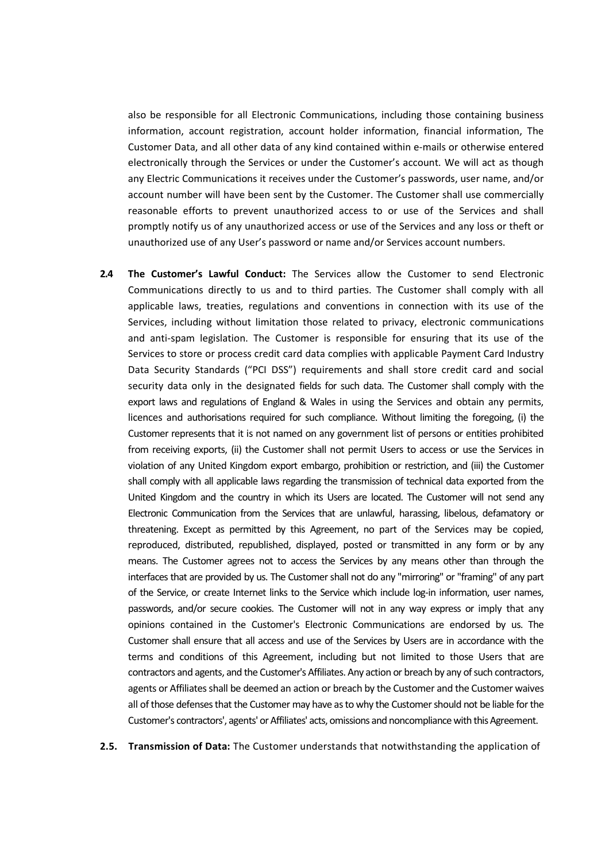also be responsible for all Electronic Communications, including those containing business information, account registration, account holder information, financial information, The Customer Data, and all other data of any kind contained within e-mails or otherwise entered electronically through the Services or under the Customer's account. We will act as though any Electric Communications it receives under the Customer's passwords, user name, and/or account number will have been sent by the Customer. The Customer shall use commercially reasonable efforts to prevent unauthorized access to or use of the Services and shall promptly notify us of any unauthorized access or use of the Services and any loss or theft or unauthorized use of any User's password or name and/or Services account numbers.

**2.4 The Customer's Lawful Conduct:** The Services allow the Customer to send Electronic Communications directly to us and to third parties. The Customer shall comply with all applicable laws, treaties, regulations and conventions in connection with its use of the Services, including without limitation those related to privacy, electronic communications and anti-spam legislation. The Customer is responsible for ensuring that its use of the Services to store or process credit card data complies with applicable Payment Card Industry Data Security Standards ("PCI DSS") requirements and shall store credit card and social security data only in the designated fields for such data. The Customer shall comply with the export laws and regulations of England & Wales in using the Services and obtain any permits, licences and authorisations required for such compliance. Without limiting the foregoing, (i) the Customer represents that it is not named on any government list of persons or entities prohibited from receiving exports, (ii) the Customer shall not permit Users to access or use the Services in violation of any United Kingdom export embargo, prohibition or restriction, and (iii) the Customer shall comply with all applicable laws regarding the transmission of technical data exported from the United Kingdom and the country in which its Users are located. The Customer will not send any Electronic Communication from the Services that are unlawful, harassing, libelous, defamatory or threatening. Except as permitted by this Agreement, no part of the Services may be copied, reproduced, distributed, republished, displayed, posted or transmitted in any form or by any means. The Customer agrees not to access the Services by any means other than through the interfaces that are provided by us. The Customer shall not do any "mirroring" or "framing" of any part of the Service, or create Internet links to the Service which include log-in information, user names, passwords, and/or secure cookies. The Customer will not in any way express or imply that any opinions contained in the Customer's Electronic Communications are endorsed by us. The Customer shall ensure that all access and use of the Services by Users are in accordance with the terms and conditions of this Agreement, including but not limited to those Users that are contractors and agents, and the Customer's Affiliates. Any action or breach by any of such contractors, agents or Affiliates shall be deemed an action or breach by the Customer and the Customer waives all of those defenses that the Customer may have as to why the Customer should not be liable for the Customer's contractors', agents' or Affiliates' acts, omissions and noncompliance with this Agreement.

**2.5. Transmission of Data:** The Customer understands that notwithstanding the application of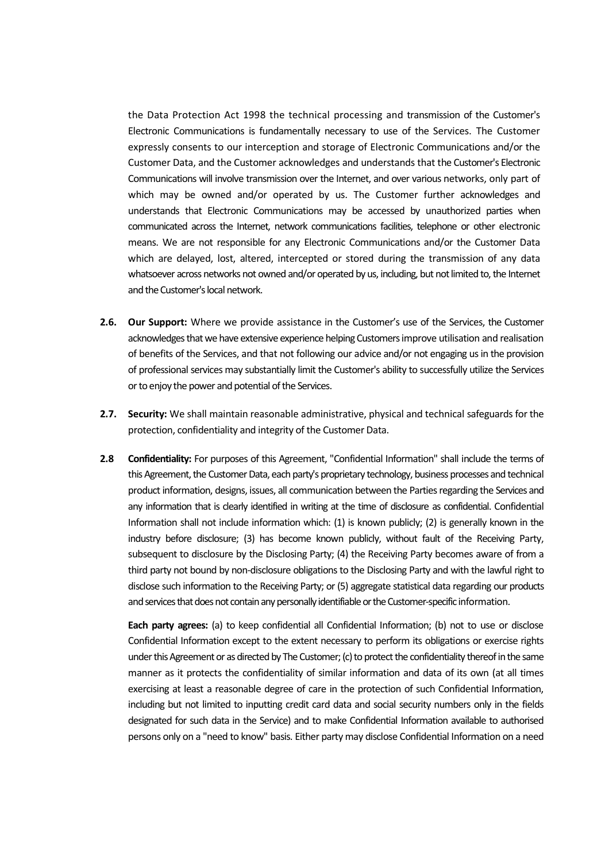the Data Protection Act 1998 the technical processing and transmission of the Customer's Electronic Communications is fundamentally necessary to use of the Services. The Customer expressly consents to our interception and storage of Electronic Communications and/or the Customer Data, and the Customer acknowledges and understands that the Customer's Electronic Communications will involve transmission over the Internet, and over various networks, only part of which may be owned and/or operated by us. The Customer further acknowledges and understands that Electronic Communications may be accessed by unauthorized parties when communicated across the Internet, network communications facilities, telephone or other electronic means. We are not responsible for any Electronic Communications and/or the Customer Data which are delayed, lost, altered, intercepted or stored during the transmission of any data whatsoever across networks not owned and/or operated by us, including, but not limited to, the Internet and the Customer's local network.

- **2.6. Our Support:** Where we provide assistance in the Customer's use of the Services, the Customer acknowledges that we have extensive experience helping Customers improve utilisation and realisation of benefits of the Services, and that not following our advice and/or not engaging us in the provision of professional services may substantially limit the Customer's ability to successfully utilize the Services or to enjoy the power and potential of the Services.
- **2.7. Security:** We shall maintain reasonable administrative, physical and technical safeguards for the protection, confidentiality and integrity of the Customer Data.
- **2.8 Confidentiality:** For purposes of this Agreement, "Confidential Information" shall include the terms of this Agreement, the Customer Data, each party's proprietary technology, business processes and technical product information, designs, issues, all communication between the Parties regarding the Services and any information that is clearly identified in writing at the time of disclosure as confidential. Confidential Information shall not include information which: (1) is known publicly; (2) is generally known in the industry before disclosure; (3) has become known publicly, without fault of the Receiving Party, subsequent to disclosure by the Disclosing Party; (4) the Receiving Party becomes aware of from a third party not bound by non-disclosure obligations to the Disclosing Party and with the lawful right to disclose such information to the Receiving Party; or (5) aggregate statistical data regarding our products and services that does not contain any personally identifiable or the Customer-specific information.

**Each party agrees:** (a) to keep confidential all Confidential Information; (b) not to use or disclose Confidential Information except to the extent necessary to perform its obligations or exercise rights under this Agreement or as directed by The Customer; (c) to protect the confidentiality thereof in the same manner as it protects the confidentiality of similar information and data of its own (at all times exercising at least a reasonable degree of care in the protection of such Confidential Information, including but not limited to inputting credit card data and social security numbers only in the fields designated for such data in the Service) and to make Confidential Information available to authorised persons only on a "need to know" basis. Either party may disclose Confidential Information on a need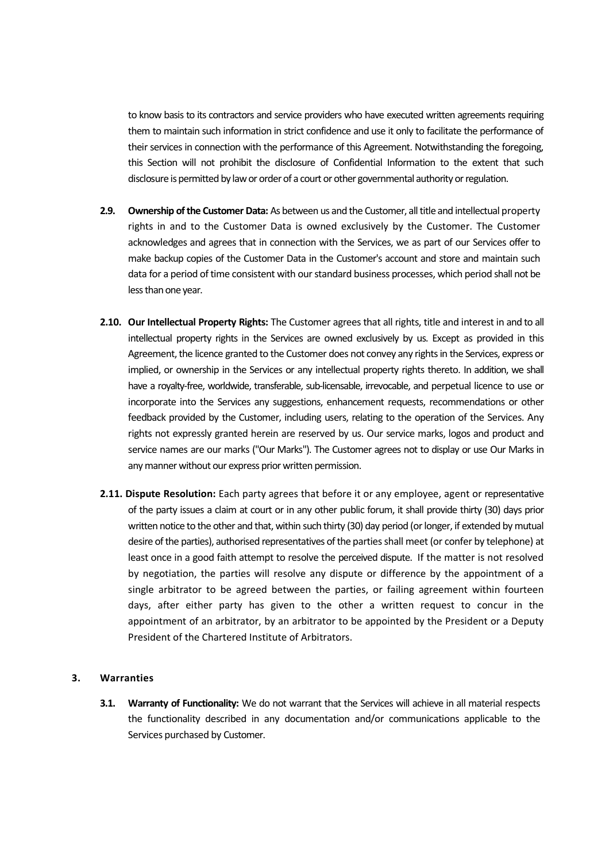to know basis to its contractors and service providers who have executed written agreements requiring them to maintain such information in strict confidence and use it only to facilitate the performance of their services in connection with the performance of this Agreement. Notwithstanding the foregoing, this Section will not prohibit the disclosure of Confidential Information to the extent that such disclosure is permitted by law or order of a court or other governmental authority or regulation.

- **2.9. Ownership of the Customer Data:** As between us and the Customer, all title and intellectual property rights in and to the Customer Data is owned exclusively by the Customer. The Customer acknowledges and agrees that in connection with the Services, we as part of our Services offer to make backup copies of the Customer Data in the Customer's account and store and maintain such data for a period of time consistent with our standard business processes, which period shall not be less than one year.
- **2.10. Our Intellectual Property Rights:** The Customer agrees that all rights, title and interest in and to all intellectual property rights in the Services are owned exclusively by us. Except as provided in this Agreement, the licence granted to the Customer does not convey any rights in the Services, express or implied, or ownership in the Services or any intellectual property rights thereto. In addition, we shall have a royalty-free, worldwide, transferable, sub-licensable, irrevocable, and perpetual licence to use or incorporate into the Services any suggestions, enhancement requests, recommendations or other feedback provided by the Customer, including users, relating to the operation of the Services. Any rights not expressly granted herein are reserved by us. Our service marks, logos and product and service names are our marks ("Our Marks"). The Customer agrees not to display or use Our Marks in any manner without our express prior written permission.
- **2.11. Dispute Resolution:** Each party agrees that before it or any employee, agent or representative of the party issues a claim at court or in any other public forum, it shall provide thirty (30) days prior written notice to the other and that, within such thirty (30) day period (or longer, if extended by mutual desire of the parties), authorised representatives of the parties shall meet (or confer by telephone) at least once in a good faith attempt to resolve the perceived dispute. If the matter is not resolved by negotiation, the parties will resolve any dispute or difference by the appointment of a single arbitrator to be agreed between the parties, or failing agreement within fourteen days, after either party has given to the other a written request to concur in the appointment of an arbitrator, by an arbitrator to be appointed by the President or a Deputy President of the Chartered Institute of Arbitrators.

#### **3. Warranties**

**3.1. Warranty of Functionality:** We do not warrant that the Services will achieve in all material respects the functionality described in any documentation and/or communications applicable to the Services purchased by Customer.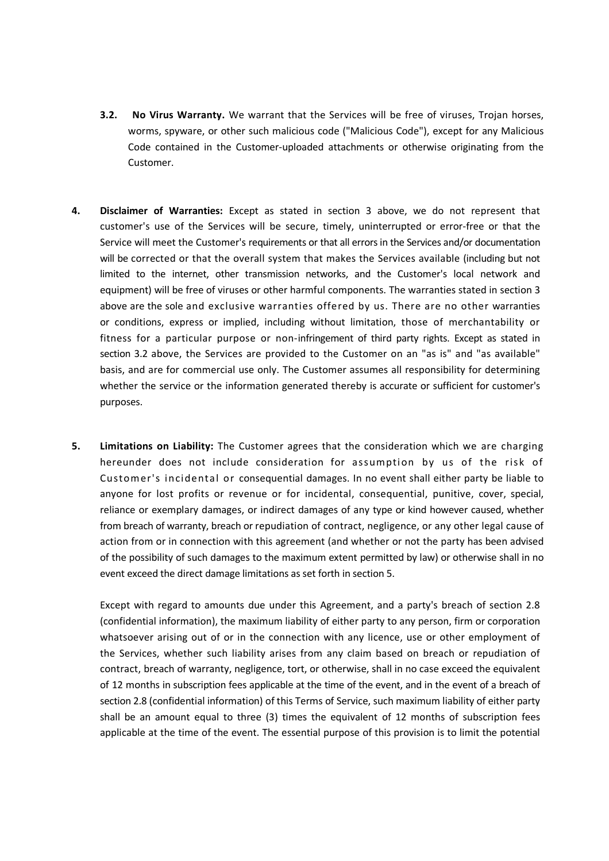- **3.2. No Virus Warranty.** We warrant that the Services will be free of viruses, Trojan horses, worms, spyware, or other such malicious code ("Malicious Code"), except for any Malicious Code contained in the Customer-uploaded attachments or otherwise originating from the Customer.
- **4. Disclaimer of Warranties:** Except as stated in section 3 above, we do not represent that customer's use of the Services will be secure, timely, uninterrupted or error-free or that the Service will meet the Customer's requirements or that all errors in the Services and/or documentation will be corrected or that the overall system that makes the Services available (including but not limited to the internet, other transmission networks, and the Customer's local network and equipment) will be free of viruses or other harmful components. The warranties stated in section 3 above are the sole and exclusive warranties offered by us. There are no other warranties or conditions, express or implied, including without limitation, those of merchantability or fitness for a particular purpose or non-infringement of third party rights. Except as stated in section 3.2 above, the Services are provided to the Customer on an "as is" and "as available" basis, and are for commercial use only. The Customer assumes all responsibility for determining whether the service or the information generated thereby is accurate or sufficient for customer's purposes.
- **5. Limitations on Liability:** The Customer agrees that the consideration which we are charging hereunder does not include consideration for assumption by us of the risk of Customer's incidental or consequential damages. In no event shall either party be liable to anyone for lost profits or revenue or for incidental, consequential, punitive, cover, special, reliance or exemplary damages, or indirect damages of any type or kind however caused, whether from breach of warranty, breach or repudiation of contract, negligence, or any other legal cause of action from or in connection with this agreement (and whether or not the party has been advised of the possibility of such damages to the maximum extent permitted by law) or otherwise shall in no event exceed the direct damage limitations as set forth in section 5.

Except with regard to amounts due under this Agreement, and a party's breach of section 2.8 (confidential information), the maximum liability of either party to any person, firm or corporation whatsoever arising out of or in the connection with any licence, use or other employment of the Services, whether such liability arises from any claim based on breach or repudiation of contract, breach of warranty, negligence, tort, or otherwise, shall in no case exceed the equivalent of 12 months in subscription fees applicable at the time of the event, and in the event of a breach of section 2.8 (confidential information) of this Terms of Service, such maximum liability of either party shall be an amount equal to three (3) times the equivalent of 12 months of subscription fees applicable at the time of the event. The essential purpose of this provision is to limit the potential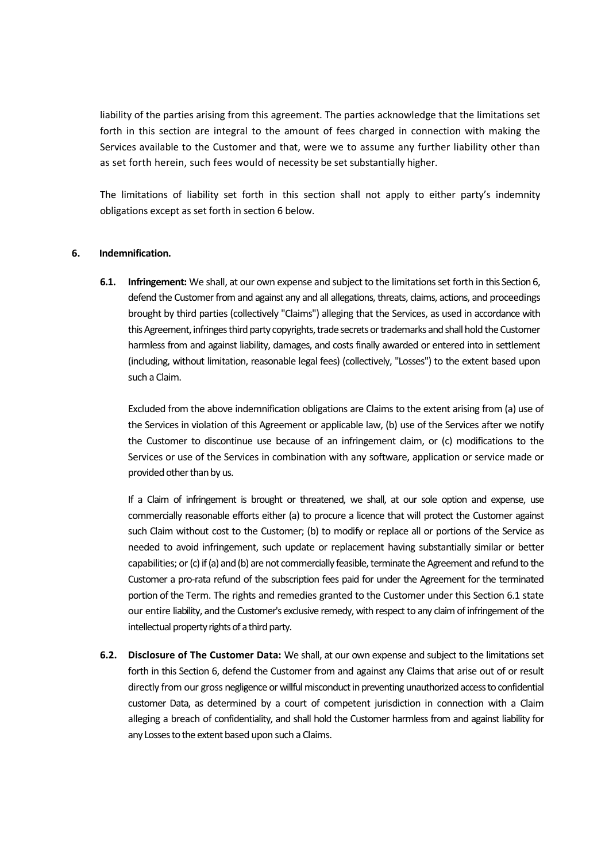liability of the parties arising from this agreement. The parties acknowledge that the limitations set forth in this section are integral to the amount of fees charged in connection with making the Services available to the Customer and that, were we to assume any further liability other than as set forth herein, such fees would of necessity be set substantially higher.

The limitations of liability set forth in this section shall not apply to either party's indemnity obligations except as set forth in section 6 below.

### **6. Indemnification.**

**6.1. Infringement:** We shall, at our own expense and subject to the limitations set forth in this Section 6, defend the Customer from and against any and all allegations, threats, claims, actions, and proceedings brought by third parties (collectively "Claims") alleging that the Services, as used in accordance with this Agreement, infringes third party copyrights, trade secrets or trademarks and shall hold the Customer harmless from and against liability, damages, and costs finally awarded or entered into in settlement (including, without limitation, reasonable legal fees) (collectively, "Losses") to the extent based upon such a Claim.

Excluded from the above indemnification obligations are Claims to the extent arising from (a) use of the Services in violation of this Agreement or applicable law, (b) use of the Services after we notify the Customer to discontinue use because of an infringement claim, or (c) modifications to the Services or use of the Services in combination with any software, application or service made or provided other than by us.

If a Claim of infringement is brought or threatened, we shall, at our sole option and expense, use commercially reasonable efforts either (a) to procure a licence that will protect the Customer against such Claim without cost to the Customer; (b) to modify or replace all or portions of the Service as needed to avoid infringement, such update or replacement having substantially similar or better capabilities; or (c) if (a) and (b) are not commercially feasible, terminate the Agreement and refund to the Customer a pro-rata refund of the subscription fees paid for under the Agreement for the terminated portion of the Term. The rights and remedies granted to the Customer under this Section 6.1 state our entire liability, and the Customer's exclusive remedy, with respect to any claim of infringement of the intellectual property rights of a third party.

**6.2. Disclosure of The Customer Data:** We shall, at our own expense and subject to the limitations set forth in this Section 6, defend the Customer from and against any Claims that arise out of or result directly from our gross negligence or willful misconduct in preventing unauthorized access to confidential customer Data, as determined by a court of competent jurisdiction in connection with a Claim alleging a breach of confidentiality, and shall hold the Customer harmless from and against liability for any Losses to the extent based upon such a Claims.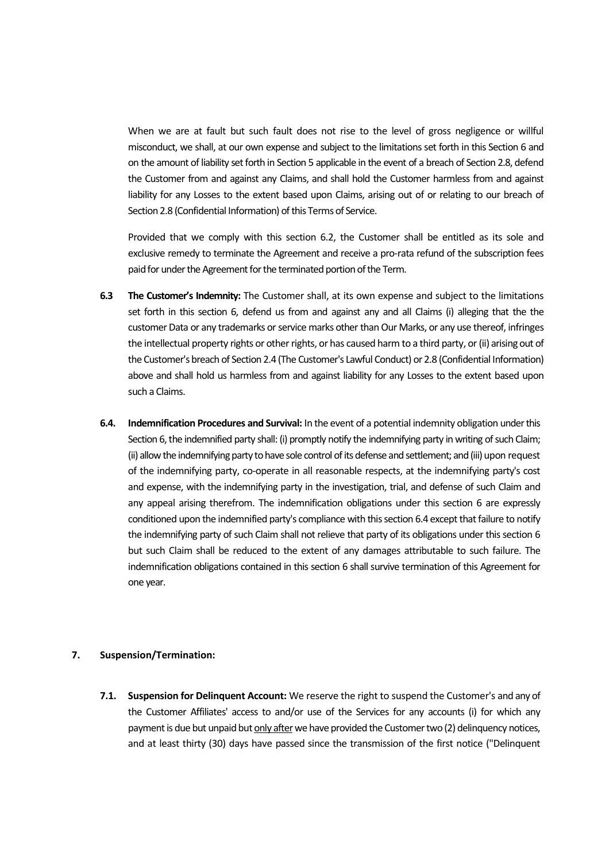When we are at fault but such fault does not rise to the level of gross negligence or willful misconduct, we shall, at our own expense and subject to the limitations set forth in this Section 6 and on the amount of liability set forth in Section 5 applicable in the event of a breach of Section 2.8, defend the Customer from and against any Claims, and shall hold the Customer harmless from and against liability for any Losses to the extent based upon Claims, arising out of or relating to our breach of Section 2.8 (Confidential Information) of this Terms of Service.

Provided that we comply with this section 6.2, the Customer shall be entitled as its sole and exclusive remedy to terminate the Agreement and receive a pro-rata refund of the subscription fees paid for under the Agreement for the terminated portion of the Term.

- **6.3 The Customer's Indemnity:** The Customer shall, at its own expense and subject to the limitations set forth in this section 6, defend us from and against any and all Claims (i) alleging that the the customer Data or any trademarks or service marks other than Our Marks, or any use thereof, infringes the intellectual property rights or other rights, or has caused harm to a third party, or (ii) arising out of the Customer's breach of Section 2.4 (The Customer's Lawful Conduct) or 2.8 (Confidential Information) above and shall hold us harmless from and against liability for any Losses to the extent based upon such a Claims.
- **6.4. Indemnification Procedures and Survival:** In the event of a potential indemnity obligation under this Section 6, the indemnified party shall: (i) promptly notify the indemnifying party in writing of such Claim; (ii) allow the indemnifying party to have sole control of its defense and settlement; and (iii) upon request of the indemnifying party, co-operate in all reasonable respects, at the indemnifying party's cost and expense, with the indemnifying party in the investigation, trial, and defense of such Claim and any appeal arising therefrom. The indemnification obligations under this section 6 are expressly conditioned upon the indemnified party's compliance with this section 6.4 except that failure to notify the indemnifying party of such Claim shall not relieve that party of its obligations under this section 6 but such Claim shall be reduced to the extent of any damages attributable to such failure. The indemnification obligations contained in this section 6 shall survive termination of this Agreement for one year.

### **7. Suspension/Termination:**

**7.1. Suspension for Delinquent Account:** We reserve the right to suspend the Customer's and any of the Customer Affiliates' access to and/or use of the Services for any accounts (i) for which any payment is due but unpaid but only after we have provided the Customer two (2) delinquency notices, and at least thirty (30) days have passed since the transmission of the first notice ("Delinquent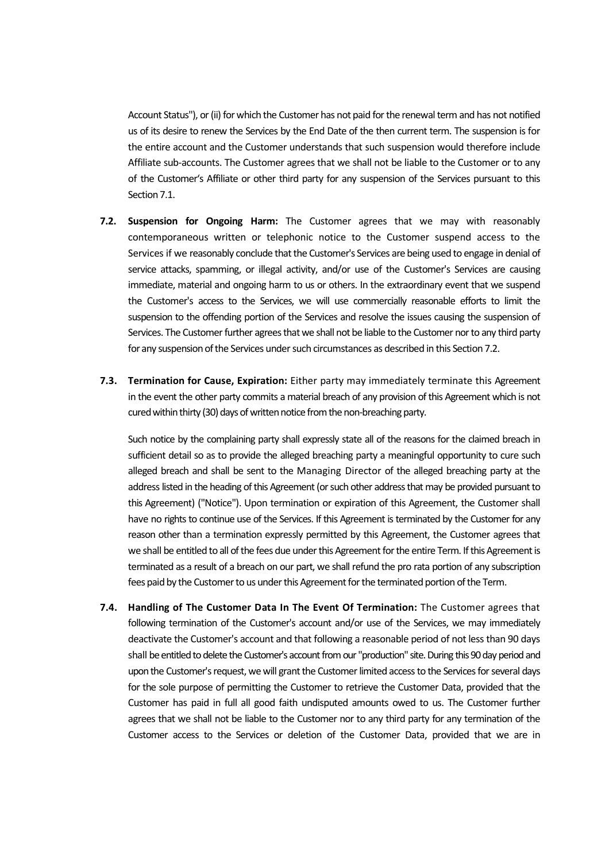Account Status"), or (ii) for which the Customer has not paid for the renewal term and has not notified us of its desire to renew the Services by the End Date of the then current term. The suspension is for the entire account and the Customer understands that such suspension would therefore include Affiliate sub-accounts. The Customer agrees that we shall not be liable to the Customer or to any of the Customer's Affiliate or other third party for any suspension of the Services pursuant to this Section 7.1.

- **7.2. Suspension for Ongoing Harm:** The Customer agrees that we may with reasonably contemporaneous written or telephonic notice to the Customer suspend access to the Services if we reasonably conclude that the Customer's Services are being used to engage in denial of service attacks, spamming, or illegal activity, and/or use of the Customer's Services are causing immediate, material and ongoing harm to us or others. In the extraordinary event that we suspend the Customer's access to the Services, we will use commercially reasonable efforts to limit the suspension to the offending portion of the Services and resolve the issues causing the suspension of Services. The Customer further agrees that we shall not be liable to the Customer nor to any third party for any suspension of the Services under such circumstances as described in this Section 7.2.
- **7.3. Termination for Cause, Expiration:** Either party may immediately terminate this Agreement in the event the other party commits a material breach of any provision of this Agreement which is not cured within thirty (30) days of written notice from the non-breaching party.

Such notice by the complaining party shall expressly state all of the reasons for the claimed breach in sufficient detail so as to provide the alleged breaching party a meaningful opportunity to cure such alleged breach and shall be sent to the Managing Director of the alleged breaching party at the address listed in the heading of this Agreement (or such other address that may be provided pursuant to this Agreement) ("Notice"). Upon termination or expiration of this Agreement, the Customer shall have no rights to continue use of the Services. If this Agreement is terminated by the Customer for any reason other than a termination expressly permitted by this Agreement, the Customer agrees that we shall be entitled to all of the fees due under this Agreement for the entire Term. If this Agreement is terminated as a result of a breach on our part, we shall refund the pro rata portion of any subscription fees paid by the Customer to us under this Agreement for the terminated portion of the Term.

**7.4. Handling of The Customer Data In The Event Of Termination:** The Customer agrees that following termination of the Customer's account and/or use of the Services, we may immediately deactivate the Customer's account and that following a reasonable period of not less than 90 days shall be entitled to delete the Customer's account from our "production" site. During this 90 day period and upon the Customer's request, we will grant the Customer limited access to the Services for several days for the sole purpose of permitting the Customer to retrieve the Customer Data, provided that the Customer has paid in full all good faith undisputed amounts owed to us. The Customer further agrees that we shall not be liable to the Customer nor to any third party for any termination of the Customer access to the Services or deletion of the Customer Data, provided that we are in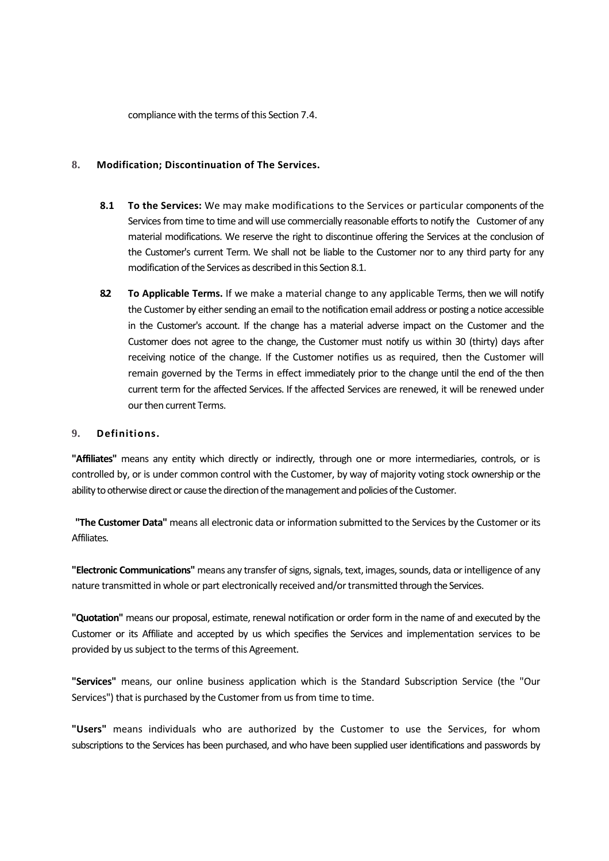compliance with the terms of this Section 7.4.

## **8. Modification; Discontinuation of The Services.**

- **8.1 To the Services:** We may make modifications to the Services or particular components of the Services from time to time and will use commercially reasonable efforts to notify the Customer of any material modifications. We reserve the right to discontinue offering the Services at the conclusion of the Customer's current Term. We shall not be liable to the Customer nor to any third party for any modification of the Services as described in this Section 8.1.
- **8.2 To Applicable Terms.** If we make a material change to any applicable Terms, then we will notify the Customer by either sending an email to the notification email address or posting a notice accessible in the Customer's account. If the change has a material adverse impact on the Customer and the Customer does not agree to the change, the Customer must notify us within 30 (thirty) days after receiving notice of the change. If the Customer notifies us as required, then the Customer will remain governed by the Terms in effect immediately prior to the change until the end of the then current term for the affected Services. If the affected Services are renewed, it will be renewed under our then current Terms.

## **9. Definitions.**

**"Affiliates"** means any entity which directly or indirectly, through one or more intermediaries, controls, or is controlled by, or is under common control with the Customer, by way of majority voting stock ownership or the ability to otherwise direct or cause the direction of the management and policies of the Customer.

**"The Customer Data"** means all electronic data or information submitted to the Services by the Customer or its **Affiliates** 

**"Electronic Communications"** means any transfer of signs, signals, text, images, sounds, data or intelligence of any nature transmitted in whole or part electronically received and/or transmitted through the Services.

**"Quotation"** means our proposal, estimate, renewal notification or order form in the name of and executed by the Customer or its Affiliate and accepted by us which specifies the Services and implementation services to be provided by us subject to the terms of this Agreement.

**"Services"** means, our online business application which is the Standard Subscription Service (the "Our Services") that is purchased by the Customer from us from time to time.

**"Users"** means individuals who are authorized by the Customer to use the Services, for whom subscriptions to the Services has been purchased, and who have been supplied user identifications and passwords by